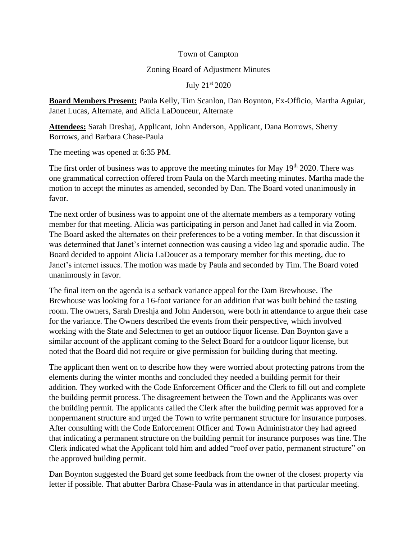## Town of Campton

## Zoning Board of Adjustment Minutes

July 21st 2020

**Board Members Present:** Paula Kelly, Tim Scanlon, Dan Boynton, Ex-Officio, Martha Aguiar, Janet Lucas, Alternate, and Alicia LaDouceur, Alternate

**Attendees:** Sarah Dreshaj, Applicant, John Anderson, Applicant, Dana Borrows, Sherry Borrows, and Barbara Chase-Paula

The meeting was opened at 6:35 PM.

The first order of business was to approve the meeting minutes for May  $19<sup>th</sup> 2020$ . There was one grammatical correction offered from Paula on the March meeting minutes. Martha made the motion to accept the minutes as amended, seconded by Dan. The Board voted unanimously in favor.

The next order of business was to appoint one of the alternate members as a temporary voting member for that meeting. Alicia was participating in person and Janet had called in via Zoom. The Board asked the alternates on their preferences to be a voting member. In that discussion it was determined that Janet's internet connection was causing a video lag and sporadic audio. The Board decided to appoint Alicia LaDoucer as a temporary member for this meeting, due to Janet's internet issues. The motion was made by Paula and seconded by Tim. The Board voted unanimously in favor.

The final item on the agenda is a setback variance appeal for the Dam Brewhouse. The Brewhouse was looking for a 16-foot variance for an addition that was built behind the tasting room. The owners, Sarah Dreshja and John Anderson, were both in attendance to argue their case for the variance. The Owners described the events from their perspective, which involved working with the State and Selectmen to get an outdoor liquor license. Dan Boynton gave a similar account of the applicant coming to the Select Board for a outdoor liquor license, but noted that the Board did not require or give permission for building during that meeting.

The applicant then went on to describe how they were worried about protecting patrons from the elements during the winter months and concluded they needed a building permit for their addition. They worked with the Code Enforcement Officer and the Clerk to fill out and complete the building permit process. The disagreement between the Town and the Applicants was over the building permit. The applicants called the Clerk after the building permit was approved for a nonpermanent structure and urged the Town to write permanent structure for insurance purposes. After consulting with the Code Enforcement Officer and Town Administrator they had agreed that indicating a permanent structure on the building permit for insurance purposes was fine. The Clerk indicated what the Applicant told him and added "roof over patio, permanent structure" on the approved building permit.

Dan Boynton suggested the Board get some feedback from the owner of the closest property via letter if possible. That abutter Barbra Chase-Paula was in attendance in that particular meeting.